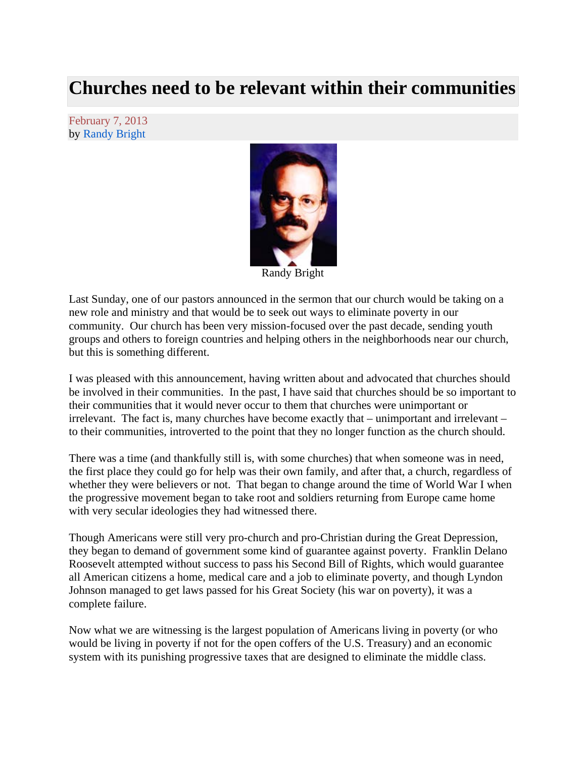## **Churches need to be relevant within their communities**

February 7, 2013 by Randy Bright



Randy Bright

Last Sunday, one of our pastors announced in the sermon that our church would be taking on a new role and ministry and that would be to seek out ways to eliminate poverty in our community. Our church has been very mission-focused over the past decade, sending youth groups and others to foreign countries and helping others in the neighborhoods near our church, but this is something different.

I was pleased with this announcement, having written about and advocated that churches should be involved in their communities. In the past, I have said that churches should be so important to their communities that it would never occur to them that churches were unimportant or irrelevant. The fact is, many churches have become exactly that – unimportant and irrelevant – to their communities, introverted to the point that they no longer function as the church should.

There was a time (and thankfully still is, with some churches) that when someone was in need, the first place they could go for help was their own family, and after that, a church, regardless of whether they were believers or not. That began to change around the time of World War I when the progressive movement began to take root and soldiers returning from Europe came home with very secular ideologies they had witnessed there.

Though Americans were still very pro-church and pro-Christian during the Great Depression, they began to demand of government some kind of guarantee against poverty. Franklin Delano Roosevelt attempted without success to pass his Second Bill of Rights, which would guarantee all American citizens a home, medical care and a job to eliminate poverty, and though Lyndon Johnson managed to get laws passed for his Great Society (his war on poverty), it was a complete failure.

Now what we are witnessing is the largest population of Americans living in poverty (or who would be living in poverty if not for the open coffers of the U.S. Treasury) and an economic system with its punishing progressive taxes that are designed to eliminate the middle class.